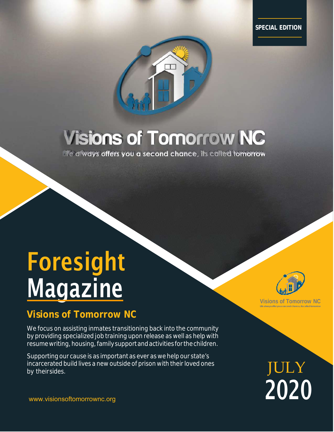**SPECIAL EDITION**



## **Visions of Tomorrow NC**

life always offers you a second chance, its called tomorrow

# Foresight <u>Magazine</u>

## **Visions of Tomorrow NC**

We focus on assisting inmates transitioning back into the community by providing specialized job training upon release as well as help with resume writing, housing, family support and activities for the children.

Supporting our cause is as important as ever as we help our state's incarcerated build lives a new outside of prison with their loved ones by their sides.



**Visions of Tomorrow NC Life always offer you a second chance, its called tomorrow**

JULY 2020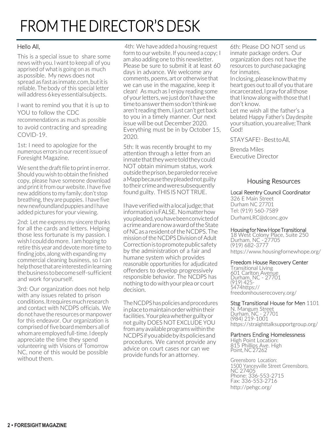## FROM THE DIRECTOR'S DESK

#### Hello All,

This is a special issue to share some news with you. I want to keep all of you apprised of what is going on as much aspossible. My news does not spread as fastas inmate.com,butitis reliable. The body of this special letter will address 6 key essential subjects.

I want to remind you that it is up to YOU to follow the CDC recommendations as much as possible to avoid contracting and spreading COVID‐19.

1st: I need to apologize for the numerous errors in ourrecentissue of Foresight Magazine.

We sent the draft file to print in error. Should you wish to obtain the finished copy, please have someone download and print it from our website. I have five new additions to my family; don't stop breathing, they are puppies. I have five new newfoundland puppies and I have added pictures for your viewing.

2nd: Let me express my sincere thanks for all the cards and letters. Helping those less fortunate is my passion. I wish I could do more. I am hoping to retire this year and devote more time to finding jobs, along with expanding my commercial cleaning business, so I can help those that are interested in learning thebusinesstobecomeself‐sufficient and work foryourself.

3rd: Our organization does not help with any issues related to prison conditions.Itrequiresmuchresearch and contact with NCDPS officials. We donot have the resources or manpower for this endeavor. Our organization is comprised offive board members all of whom are employed full-time. I deeply appreciate the time they spend volunteering with Visions of Tomorrow NC, none of this would be possible without them.

4th: We have added a housing request form to our website. If you need a copy; I am also adding one to this newsletter. Please be sure to submit it at least 60 days in advance. We welcome any comments, poems, art or otherwise that we can use in the magazine, keep it clean! As much as I enjoy reading some of yourletters,we justdon't have the timetoanswerthemsodon'tthinkwe aren'treading them, I just can't get back to you in a timely manner. Our next issue will be out December 2020. Everything must be in by October 15, 2020.

5th: It was recently brought to my attention through a letter from an inmatethattheyweretoldtheycould NOT obtain minimum status, work outsidetheprison,beparoledorreceive aMappbecausetheypleadednotguilty totheircrimeandweresubsequently found guilty. THIS IS NOT TRUE.

Ihaveverifiedwitha local judge;that informationisFALSE. Nomatterhow youpleaded,youhavebeenconvictedof acrimeandarenowawardoftheState ofNCas a residentoftheNCDPS.The mission of the NCDPS Division of Adult Correctionis topromotepublicsafety by the administration of a fair and humane system which provides reasonable opportunities for adjudicated offenders to develop progressively responsible behavior. The NCDPS has nothing to dowith yourplea or court decision.

TheNCDPShaspoliciesandprocedures inplacetomaintainorderwithintheir facilities.Yourpleawhetherguiltyor not guilty DOES NOT EXCLUDE YOU from any available programs within the NCDPSifyouabidebyitspoliciesand procedures. We cannot provide any advice on court cases nor can we provide funds for an attorney.

6th: Please DO NOT send us inmate package orders. Our organization does not have the resources to purchase packaging for inmates.

Inclosing,pleaseknowthatmy heart goes out to all of you that are incarcerated, I pray for all those that I know along with those that  $\mathsf I$ don't know.

Let me wish all the father's a belated Happy Father's Daydespite your situation,youarealive;Thank God!

STAYSAFE! ‐ BesttoAll,

Brenda Miles Executive Director

#### Housing Resources

#### Local Reentry Council Coordinator

326 E Main Street Durham NC 27701 Tel: (919) 560‐7589 DurhamLRC@dconc.gov

## Housing for New Hope Transitional <sup>18</sup> West Colony Place, Suite <sup>250</sup>

Durham, NC - 27705 (919) 682‐3777 https://www.housingfornewhope.org/

#### Freedom House Recovery Center

Transitional Living<br>601 Carlton Avenue Durham, NC - 27701<br>(919) 425-(919) <sup>425</sup>‐ 5474https:// freedomhouserecovery.org/

#### Stsg Transitional House for Men 1101

N. Mangum Street Durham, NC ‐ 27701 (984) 219‐1001 https://straighttalksupportgroup.org/

## Partners Ending Homelessness<br>High Point Location:

<sup>815</sup> Phillips Ave. High Point, NC <sup>27262</sup>

Greensboro Location: 1500 Yanceyville Street Greensboro, NC 27405 Phone: 336‐553‐2715 Fax: 336‐553‐2716 http://pehgc.org/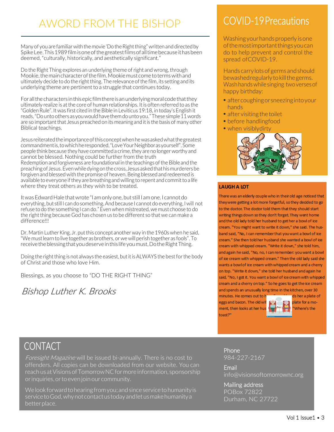## AWORD FROM THE BISHOP

Many of you are familiar with the movie 'Do the Right thing" written and directed by SpikeLee.This1989filmisoneofthegreatestfilmsofalltimebecauseithasbeen deemed, "culturally, historically, and aesthetically significant."

Do the Right Thing explores an underlying theme of right and wrong, through Mookie, the main character of the film. Mookie must come to terms with and ultimately decide to do the right thing. The relevance of the film, its setting and its underlying theme are pertinent to a struggle that continues today.

For all the characters in this epic film there is an underlying moral code that they ultimately realize is at the core of human relationships. It is often referred to as the "Golden Rule". It was first cited in the Bible in Leviticus 19:18, in today's English it reads, "Do unto others as you would have them do unto you." These simple 11 words are so important that Jesus preached on its meaning and it is the basis of many other Biblical teachings.

Jesus reiteratedtheimportanceofthisconceptwhenhewasaskedwhatthegreatest commandmentis,towhichheresponded,"LoveYourNeighborasyourself".Some people think because they have committed a crime,they are no longerworthy and cannot be blessed. Nothing could be further from the truth Redemption and forgiveness are foundational in the teachings ofthe Bible and the preachingof Jesus.Evenwhiledyingonthe cross, Jesus askedthathismurderersbe forgiven and blessed with the promise of heaven. Being blessed and redeemed is available to everyone if they are breathing and willing to repent and commit to a life where they treat others as they wish to be treated.

It was Edward Hale that wrote "I am only one, but still I am one. I cannot do everything, but still I can do something.And because I cannot do everything, Iwill not refuse to do the something I can do." Evenwhen mistreated,we must choose to do the right thing because God has chosen us to be different so that we can make a difference!!!

Dr. Martin Luther King, Jr. put this concept another way in the 1960s when he said, "We mustlearn to live together as brothers, or wewill perish together as fools". To receive the blessing that you deserve in this life you must, Do the Right Thing.

Doing the right thing is not always the easiest, but it is ALWAYS the best for the body of Christ and those who love Him.

Blessings, as you choose to "DO THE RIGHT THING"

Bishop Luther K. Brooks

## COVID‐19 Precautions

Washing your hands properly is one ofthemostimportantthingsyoucan do to help prevent and control the spread of COVID-19.

Hands carrylotsof germs andshould bewashed regularly to kill the germs. Wash hands while singing two verses of happy birthday:

- after coughing or sneezing into your hands
- after visiting the toilet
- before handlingfood
- when visiblydirty



#### **LAUGH A LOT**

There was an elderly couple who in their old age noticed that theywere getting a lot more forgetful, so they decided to go to the doctor. The doctor told them that they should start writing things down so they don't forget. They went home and the old lady told her husband to get her a bowl of ice cream. "You might want to write it down," she said. The husband said, "No, I can remember that you want a bowl of ice cream." She then told her husband she wanted a bowl of ice cream with whipped cream. "Write it down," she told him, and again he said, "No, no, I can remember: you want a bowl of ice cream with whipped cream." Then the old lady said she wants a bowl of ice cream with whipped cream and a cherry on top. "Write it down," she told her husband and again he said, "No, I got it. You want a bowl of ice cream with whipped cream and a cherry on top." So he goes to get the ice cream and spends an unusually long time in the kitchen, over 30

minutes. He comes out to hi eggs and bacon. The old wif ment, then looks at her hu:  $to$ ast?"



ds her a plate of plate for a mo-Where's the

## **CONTACT**

Foresight Magazine will be issued bi-annually. There is no cost to offenders. All copies can be downloaded from our website. You can reachus atVisionsofTomorrowNCfor more information, sponsorship orinquiries,orto even join our community.

Welook forwardtohearingfromyou;andsinceservicetohumanityis service to God, why not contact us today and let us make humanity a better place.

Phone 984‐227‐2167

Email info@visionsoftomorrownc.org

Mailing address POBox 72822 Durham, NC 27722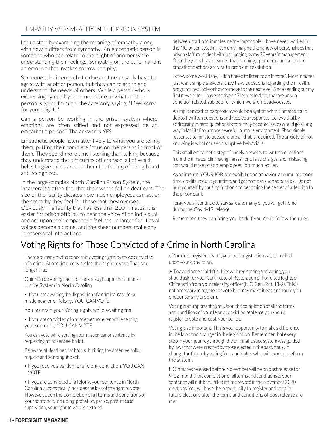#### EMPATHY VS SYMPATHY IN THE PRISON SYSTEM

Let us start by examining the meaning of empathy along with how it differs from sympathy. An empathetic person is someone who can relate to the plight of another while understanding their feelings. Sympathy on the other hand is an emotion that invokes sorrow and pity.

Someone who is empathetic does not necessarily have to agree with another person, but they can relate to and understand the needs of others. While a person who is expressing sympathy does not relate to what another person is going through, they are only saying, "I feel sorry for your plight. "

Can a person be working in the prison system where emotions are often stifled and not expressed be an empathetic person? The answer is YES.

Empathetic people listen attentively to what you are telling them, putting their complete focus on the person in front of them. They spend more time listening than talking because they understand the difficulties others face, all of which helps to give those around them the feeling of being heard and recognized.

In the large complex North Carolina Prison System, the incarcerated often feel that their words fall on deaf ears. The size of the facility dictates how much employees can act on the empathy they feel for those that they oversee. Obviously in a facility that has less than 200 inmates, it is easier for prison officials to hear the voice of an individual and act upon their empathetic feelings. In larger facilities all voices become a drone, and the sheer numbers make any interpersonal interactions

between staff and inmates nearly impossible. I have never worked in the NC prison system. I can only imagine the variety of personalities that prison staff must deal with just judging by my 22 years in management. Overthe years Ihave learnedthatlistening,opencommunicationand empatheticactions arevitalto problem resolution.

I know some would say,"I don't need to listen to an inmate". Mostinmates just want simple answers, they have questions regarding their health, programs availableorhowtomove tothenextlevel. Since sendingout my first newsletter, I have received 47 letters to date, that are prison conditionrelated, subjects for which we are not advocates.

Asimpleempatheticapproachwouldbea systemwhereinmatescould deposit written questions and receive a response. I believe that by addressing inmate questions before they become issues would go a long way in facilitating a more peaceful, humane environment. Short simple responses to inmate questions are all that is required. The anxiety of not knowing iswhat causesdisruptive behaviors.

This small empathetic step of timely answers to written questions from the inmates, eliminating harassment, false charges, and misleading acts would make prison employees job much easier.

Asaninmate,YOURJOBis toexhibitgoodbehavior,accumulategood time credits, reduce your time, and get home as soon as possible. Do not hurt yourself by causing friction and becoming the center of attention to the prison staff.

I pray you all continue to stay safe and many of youwill get home during the Covid‐19 release.

Remember, they can bring you back if you don't follow the rules.

## Voting Rights for Those Convicted of a Crime in North Carolina

There are many myths concerning voting rights by those convicted of a crime. At one time, convicts lost their right to vote. That is no longerTrue.

QuickGuideVotingFacts forthosecaughtupintheCriminal Justice System in NorthCarolina

• Ifyouareawaiting thedispositionof a criminal casefor a misdemeanor or felony, YOU CANVOTE.

You maintain your Voting rights while awaiting trial.

• If you are convicted of a misdemeanor even while serving your sentence, YOU CANVOTE

You can vote while serving your misdemeanor sentence by requesting an absentee ballot.

Be aware of deadlines for both submitting the absentee ballot request and sending it back.

• If you receive a pardon for a felony conviction. YOU CAN VOTE.

• If you are convicted of a felony, your sentence in North Carolina automatically includes the loss of the right to vote. However, upon the completion of all terms and conditions of your sentence, including probation, parole, post‐release supervision, your right to vote is restored.

o You mustregisterto vote; yourpastregistrationwas cancelled upon your conviction.

 $\triangleright$  To avoid potential difficulties with registering and voting, you should ask for your Certificate of Restoration of Forfeited Rights of Citizenship from yourreleasingofficer(N.C.Gen.Stat.13‐2).This is notnecessarytoregister or vote but may make it easier should you encounter any problem.

Voting is an important right. Upon the completion of all the terms and conditions of your felony conviction sentence you should register to vote and cast your ballot.

Voting is so important. This is your opportunity to make a difference in the laws and changes in the legislation. Remember that every stepinyour journey through the criminal justice system was guided by laws that were created by those elected in the past. You can changethe future by voting for candidates who will work to reform the system.

NC inmates released before November will be on post release for 9-12 months, the completion of all terms and conditions of your sentence will not be fulfilled in time to vote in the November 2020 elections.Youwill have the opportunity to register and vote in future elections after the terms and conditions of post release are met.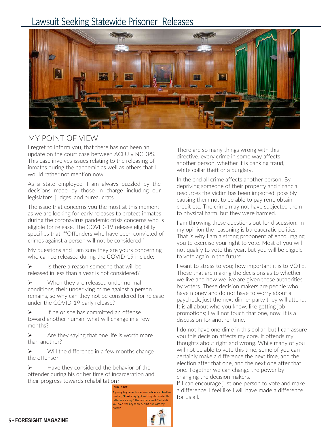## Lawsuit Seeking Statewide Prisoner Releases



### MY POINT OF VIEW

I regret to inform you, that there has not been an update on the court case between ACLU v NCDPS. This case involves issues relating to the releasing of inmates during the pandemic as well as others that I would rather not mention now.

As a state employee, I am always puzzled by the decisions made by those in charge including our legislators, judges, and bureaucrats.

The issue that concerns you the most at this moment as we are looking for early releases to protect inmates during the coronavirus pandemic crisis concerns who is eligible for release. The COVID‐19 release eligibility specifies that, ""Offenders who have been convicted of crimes against a person will not be considered."

My questions and I am sure they are yours concerning who can be released during the COVID-19 include:

 $\triangleright$  Is there a reason someone that will be released in less than a year is not considered?

> When they are released under normal conditions, their underlying crime against a person remains, so why can they not be considered for release under the COVID‐19 early release?

 If he or she has committed an offense toward another human, what will change in a few months?

 $\triangleright$  Are they saying that one life is worth more than another?

 $\triangleright$  Will the difference in a few months change the offense?

 $\blacktriangleright$  Have they considered the behavior of the offender during his or her time of incarceration and their progress towards rehabilitation?

> AUGH A LOT A voung boy came home from school and told his nother, "I had a big fight with my classmate. He :alled me a sissy." The mother asked, "What did vou do?" The boy replied. "I hit him with my



There are so many things wrong with this directive, every crime in some way affects another person, whether it is banking fraud, white collar theft or a burglary.

In the end all crime affects another person. By depriving someone of their property and financial resources the victim has been impacted, possibly causing them not to be able to pay rent, obtain credit etc. The crime may not have subjected them to physical harm, but they were harmed.

I am throwing these questions out for discussion. In my opinion the reasoning is bureaucratic politics. That is why I am a strong proponent of encouraging you to exercise your right to vote. Most of you will not qualify to vote this year, but you will be eligible to vote again in the future.

I want to stress to you; how important it is to VOTE. Those that are making the decisions as to whether we live and how we live are given these authorities by voters. These decision makers are people who have money and do not have to worry about a paycheck, just the next dinner party they will attend. It is all about who you know, like getting job promotions; I will not touch that one, now, it is a discussion for another time.

I do not have one dime in this dollar, but I can assure you this decision affects my core. It offends my thoughts about right and wrong. While many of you will not be able to vote this time, some of you can certainly make a difference the next time, and the election after that one, and the next one after that one. Together we can change the power by changing the decision makers.

If I can encourage just one person to vote and make a difference, I feel like I will have made a difference for us all.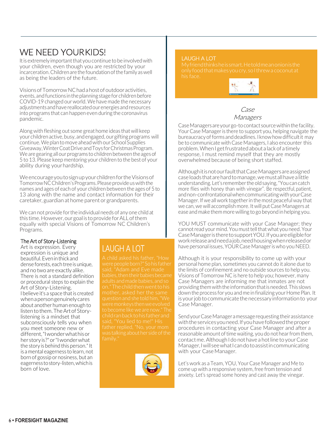## WE NEED YOURKIDS!

It is extremely important that you continue to be involved with your children, even though you are restricted by your incarceration. Children are the foundation of the family as well as being the leaders of the future.

VisionsofTomorrowNChadahostofoutdooractivities, events, and functions in the planning stage for children before COVID‐19 changed our world.We have made the necessary adjustmentsandhavereallocatedourenergiesandresources into programs that can happen even during the coronavirus pandemic.

Along with fleshing out some great home ideas that will keep your children active, busy, and engaged, our gifting programs will continue.Weplanto move aheadwithour School Supplies Giveaway,WinterCoatDriveandToys forChristmasProgram. We are gearing all our programs to children between the ages of 5 to 13. Please keep mentoring your children to the best of your ability during your hardship.

WeencourageyoutosignupyourchildrenfortheVisionsof Tomorrow NC Children's Programs. Please provide us with the names and ages of each of your children between the ages of 5 to 13 along with the name and contact information for their caretaker, guardian at home parent or grandparents.

We can not provide for the individual needs of any one child at this time.However,our goal is toprovideforALLofthem equally with special Visions of Tomorrow NC Children's Programs.

#### The Art of Story‐Listening

Art is expression. Every expression is unique and beautiful.Eveninthick and dense forests, each tree is unique, and no two are exactly alike. There is not a standard definition or procedural steps to explain the Art of Story‐Listening. I believe it's a space that is created whenapersongenuinelycares about another human enough to listen to them. The Art of Storylistening is a mindset that subconsciously tells you when you meet someone new or different,"Iwonderwhathisor her storyis?"or"Iwonderwhat the story is behind this person."It is a mental eagerness to learn, not born of gossip or nosiness, but an eagernesstostory‐listen,whichis born of love.

### LAUGH A LOT

A child asked his father, "How were people born?" So his father said, "Adam and Eve made babies, then their babies became adults and made babies, and so on." The child then went to his childranbacktohisfatherand



#### LAUGH A LOT

only foodthatmakes youcry, soIthrewa coconut at



#### Case Managers

Case Managers are your go-to contact source within the facility. Your Case Manager is there to support you, helping navigate the bureaucracy of forms and deadlines. I know how difficult it may be to communicate with Case Managers, I also encounter this problem.WhenI getfrustratedabout a lackof a timely response, I must remind myself that they are mostly overwhelmed because of being short staffed.

AlthoughitisnotourfaultthatCaseManagersareassigned caseloads thatarehardtomanage,wemustallhavea little understanding.Let's remembertheoldsaying,"Youcancatch more flies with honey than with vinegar". Be respectful,patient, andnon‐confrontationalwhencommunicatingwithyourCase Manager. If we all work together in the most peaceful way that we can,we will accomplish more. It will putCase Managers at ease and make them morewilling to go beyond in helping you.

YOU MUST communicate with your Case Manager; they cannot read your mind. You must tell that what you need. Your CaseManageristheretosupportYOU.Ifyouareeligiblefor workreleaseandneedajob,needhousingwhenreleasedor have personal issues, YOUR Case Manager is who you NEED.

Although it is your responsibility to come up with your personal home plan, sometimes you cannot do it alone due to the limits of confinement and no outside sources to help you. Visions of Tomorrow NC is here to help you; however, many Case Managers are informing me that inmates are not providing them with the information that is needed. This slows down the process for you and me in finalizing your Home Plan. It is your job to communicate the necessary information to your Case Manager.

SendyourCaseManageramessagerequestingtheir assistance withtheservicesyouneed.Ifyouhavefollowedtheproper procedures in contacting your Case Manager and after a reasonable amount of time waiting, you do not hear from them. contact me. Although I do not have a hot line to your Case Manager, I will see what I can do to assist in communicating with your Case Manager.

Let's work as a Team, YOU, YourCase Manager and Me to come up with a responsive system, free from tension and anxiety. Let's spread some honey and cast away the vinegar.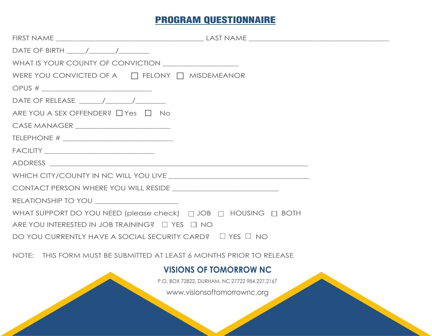## PROGRAM QUESTIONNAIRE

| DATE OF BIRTH $\qquad$                                                                                                                                                                                                                    |  |
|-------------------------------------------------------------------------------------------------------------------------------------------------------------------------------------------------------------------------------------------|--|
|                                                                                                                                                                                                                                           |  |
| WERE YOU CONVICTED OF A $\Box$ FELONY $\Box$ MISDEMEANOR                                                                                                                                                                                  |  |
| OPUS # __________________________________                                                                                                                                                                                                 |  |
| DATE OF RELEASE $\frac{1}{\sqrt{1-\frac{1}{2}}}\left  \frac{1}{\sqrt{1-\frac{1}{2}}}\right $                                                                                                                                              |  |
| ARE YOU A SEX OFFENDER? □ Yes □ No                                                                                                                                                                                                        |  |
| CASE MANAGER ________________________                                                                                                                                                                                                     |  |
|                                                                                                                                                                                                                                           |  |
| $\begin{tabular}{ c c c c } \hline \texttt{FACILITY} & \texttt{\hspace{3.5cm}} & \texttt{\hspace{3.5cm}} & \texttt{\hspace{3.5cm}} & \texttt{\hspace{3.5cm}} & \texttt{\hspace{3.5cm}} & \texttt{\hspace{3.5cm}} \\ \hline \end{tabular}$ |  |
|                                                                                                                                                                                                                                           |  |
|                                                                                                                                                                                                                                           |  |
|                                                                                                                                                                                                                                           |  |
|                                                                                                                                                                                                                                           |  |
| WHAT SUPPORT DO YOU NEED (please check) $\Box$ JOB $\Box$ HOUSING $\Box$ BOTH                                                                                                                                                             |  |
| ARE YOU INTERESTED IN JOB TRAINING? $\Box$ YES $\Box$ NO                                                                                                                                                                                  |  |
| DO YOU CURRENTLY HAVE A SOCIAL SECURITY CARD? $\Box$ YES $\Box$ NO                                                                                                                                                                        |  |
| NOTE: THIS FORM MUST BE SUBMITTED AT LEAST 6 MONTHS PRIOR TO RELEASE                                                                                                                                                                      |  |
| <b>VISIONS OF TOMORROW NC</b>                                                                                                                                                                                                             |  |
| P.O. BOX 72822, DURHAM, NC 27722 984.227.2167                                                                                                                                                                                             |  |
| www.visionsoftomorrownc.org                                                                                                                                                                                                               |  |
|                                                                                                                                                                                                                                           |  |
|                                                                                                                                                                                                                                           |  |
|                                                                                                                                                                                                                                           |  |